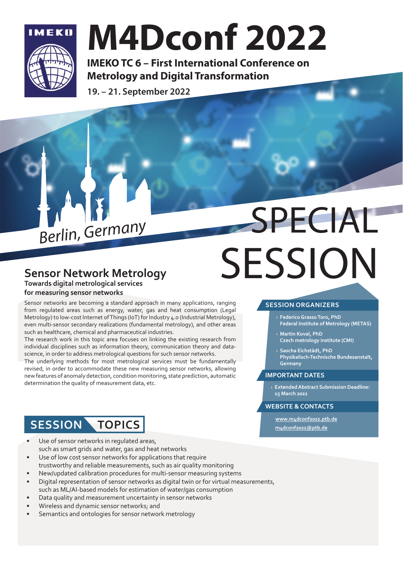

## **M4Dconf 2022**

**IMEKO TC 6 - First International Conference on Metrology and Digital Transformation** 

19. - 21. September 2022

# Berlin, Germany SPECIAL **SESSION**

#### **Sensor Network Metrology Towards digital metrological services**

#### **for measuring sensor networks**

Sensor networks are becoming a standard approach in many applications, ranging from regulated areas such as energy, water, gas and heat consumption (Legal Metrology) to low-cost Internet of Things (IoT) for Industry 4.0 (Industrial Metrology), even multi-sensor secondary realizations (fundamental metrology), and other areas such as healthcare, chemical and pharmaceutical industries.

The research work in this topic area focuses on linking the existing research from individual disciplines such as information theory, communication theory and datascience, in order to address metrological questions for such sensor networks.

The underlying methods for most metrological services must be fundamentally revised, in order to accommodate these new measuring sensor networks, allowing new features of anomaly detection, condition monitoring, state prediction, automatic determination the quality of measurement data, etc.

#### **SESSION ORGANIZERS**

- › **Federico Grasso Toro, PhD Federal Institute of Metrology (METAS)**
- › **Martin Koval, PhD Czech metrology institute (CMI)**
- › **Sascha Eichstädt, PhD Physikalisch-Technische Bundesanstalt, Germany**

#### **IMPORTANT DATES**

› **Extended Abstract Submission Deadline: 15 March 2022**

#### **WEBSITE & CONTACTS**

**www.m4dconf2022.ptb.de m4dconf2022@ptb.de**

### **SESSION TOPICS**

- Use of sensor networks in regulated areas, such as smart grids and water, gas and heat networks
- Use of low cost sensor networks for applications that require trustworthy and reliable measurements, such as air quality monitoring
- New/updated calibration procedures for multi-sensor measuring systems
- Digital representation of sensor networks as digital twin or for virtual measurements, such as ML/AI-based models for estimation of water/gas consumption
- Data quality and measurement uncertainty in sensor networks
- Wireless and dynamic sensor networks; and
- Semantics and ontologies for sensor network metrology